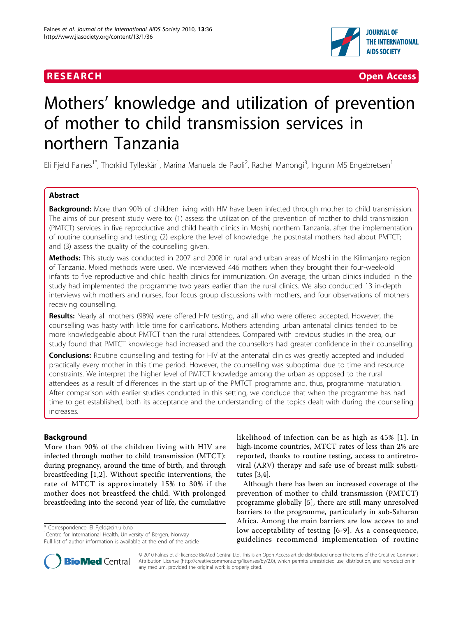## **RESEARCH Open Access**



# Mothers' knowledge and utilization of prevention of mother to child transmission services in northern Tanzania

Eli Fjeld Falnes<sup>1\*</sup>, Thorkild Tylleskär<sup>1</sup>, Marina Manuela de Paoli<sup>2</sup>, Rachel Manongi<sup>3</sup>, Ingunn MS Engebretsen<sup>1</sup>

## Abstract

Background: More than 90% of children living with HIV have been infected through mother to child transmission. The aims of our present study were to: (1) assess the utilization of the prevention of mother to child transmission (PMTCT) services in five reproductive and child health clinics in Moshi, northern Tanzania, after the implementation of routine counselling and testing; (2) explore the level of knowledge the postnatal mothers had about PMTCT; and (3) assess the quality of the counselling given.

Methods: This study was conducted in 2007 and 2008 in rural and urban areas of Moshi in the Kilimanjaro region of Tanzania. Mixed methods were used. We interviewed 446 mothers when they brought their four-week-old infants to five reproductive and child health clinics for immunization. On average, the urban clinics included in the study had implemented the programme two years earlier than the rural clinics. We also conducted 13 in-depth interviews with mothers and nurses, four focus group discussions with mothers, and four observations of mothers receiving counselling.

Results: Nearly all mothers (98%) were offered HIV testing, and all who were offered accepted. However, the counselling was hasty with little time for clarifications. Mothers attending urban antenatal clinics tended to be more knowledgeable about PMTCT than the rural attendees. Compared with previous studies in the area, our study found that PMTCT knowledge had increased and the counsellors had greater confidence in their counselling.

**Conclusions:** Routine counselling and testing for HIV at the antenatal clinics was greatly accepted and included practically every mother in this time period. However, the counselling was suboptimal due to time and resource constraints. We interpret the higher level of PMTCT knowledge among the urban as opposed to the rural attendees as a result of differences in the start up of the PMTCT programme and, thus, programme maturation. After comparison with earlier studies conducted in this setting, we conclude that when the programme has had time to get established, both its acceptance and the understanding of the topics dealt with during the counselling increases.

## Background

More than 90% of the children living with HIV are infected through mother to child transmission (MTCT): during pregnancy, around the time of birth, and through breastfeeding [[1,2](#page-13-0)]. Without specific interventions, the rate of MTCT is approximately 15% to 30% if the mother does not breastfeed the child. With prolonged breastfeeding into the second year of life, the cumulative

\* Correspondence: [Eli.Fjeld@cih.uib.no](mailto:Eli.Fjeld@cih.uib.no)

<sup>1</sup>Centre for International Health, University of Bergen, Norway Full list of author information is available at the end of the article



Although there has been an increased coverage of the prevention of mother to child transmission (PMTCT) programme globally [[5\]](#page-13-0), there are still many unresolved barriers to the programme, particularly in sub-Saharan Africa. Among the main barriers are low access to and low acceptability of testing [\[6-9\]](#page-13-0). As a consequence, guidelines recommend implementation of routine



© 2010 Falnes et al; licensee BioMed Central Ltd. This is an Open Access article distributed under the terms of the Creative Commons Attribution License [\(http://creativecommons.org/licenses/by/2.0](http://creativecommons.org/licenses/by/2.0)), which permits unrestricted use, distribution, and reproduction in any medium, provided the original work is properly cited.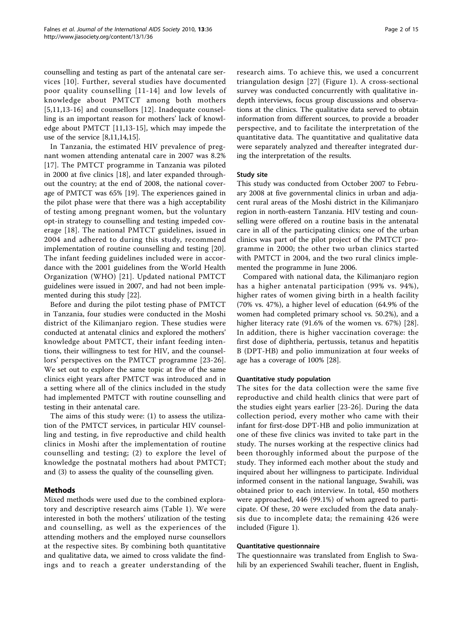counselling and testing as part of the antenatal care services [[10\]](#page-13-0). Further, several studies have documented poor quality counselling [[11](#page-13-0)-[14\]](#page-13-0) and low levels of knowledge about PMTCT among both mothers [[5,11,13](#page-13-0)-[16](#page-13-0)] and counsellors [[12](#page-13-0)]. Inadequate counselling is an important reason for mothers' lack of knowledge about PMTCT [\[11,13-15\]](#page-13-0), which may impede the use of the service [[8](#page-13-0),[11](#page-13-0),[14,15](#page-13-0)].

In Tanzania, the estimated HIV prevalence of pregnant women attending antenatal care in 2007 was 8.2% [[17](#page-13-0)]. The PMTCT programme in Tanzania was piloted in 2000 at five clinics [[18](#page-13-0)], and later expanded throughout the country; at the end of 2008, the national coverage of PMTCT was 65% [[19\]](#page-13-0). The experiences gained in the pilot phase were that there was a high acceptability of testing among pregnant women, but the voluntary opt-in strategy to counselling and testing impeded coverage [\[18\]](#page-13-0). The national PMTCT guidelines, issued in 2004 and adhered to during this study, recommend implementation of routine counselling and testing [\[20](#page-13-0)]. The infant feeding guidelines included were in accordance with the 2001 guidelines from the World Health Organization (WHO) [[21\]](#page-13-0). Updated national PMTCT guidelines were issued in 2007, and had not been implemented during this study [[22](#page-13-0)].

Before and during the pilot testing phase of PMTCT in Tanzania, four studies were conducted in the Moshi district of the Kilimanjaro region. These studies were conducted at antenatal clinics and explored the mothers' knowledge about PMTCT, their infant feeding intentions, their willingness to test for HIV, and the counsellors' perspectives on the PMTCT programme [[23-26](#page-13-0)]. We set out to explore the same topic at five of the same clinics eight years after PMTCT was introduced and in a setting where all of the clinics included in the study had implemented PMTCT with routine counselling and testing in their antenatal care.

The aims of this study were: (1) to assess the utilization of the PMTCT services, in particular HIV counselling and testing, in five reproductive and child health clinics in Moshi after the implementation of routine counselling and testing; (2) to explore the level of knowledge the postnatal mothers had about PMTCT; and (3) to assess the quality of the counselling given.

## Methods

Mixed methods were used due to the combined exploratory and descriptive research aims (Table [1](#page-2-0)). We were interested in both the mothers' utilization of the testing and counselling, as well as the experiences of the attending mothers and the employed nurse counsellors at the respective sites. By combining both quantitative and qualitative data, we aimed to cross validate the findings and to reach a greater understanding of the research aims. To achieve this, we used a concurrent triangulation design [\[27\]](#page-13-0) (Figure [1\)](#page-4-0). A cross-sectional survey was conducted concurrently with qualitative indepth interviews, focus group discussions and observations at the clinics. The qualitative data served to obtain

information from different sources, to provide a broader perspective, and to facilitate the interpretation of the quantitative data. The quantitative and qualitative data were separately analyzed and thereafter integrated during the interpretation of the results.

### Study site

This study was conducted from October 2007 to February 2008 at five governmental clinics in urban and adjacent rural areas of the Moshi district in the Kilimanjaro region in north-eastern Tanzania. HIV testing and counselling were offered on a routine basis in the antenatal care in all of the participating clinics; one of the urban clinics was part of the pilot project of the PMTCT programme in 2000; the other two urban clinics started with PMTCT in 2004, and the two rural clinics implemented the programme in June 2006.

Compared with national data, the Kilimanjaro region has a higher antenatal participation (99% vs. 94%), higher rates of women giving birth in a health facility (70% vs. 47%), a higher level of education (64.9% of the women had completed primary school vs. 50.2%), and a higher literacy rate (91.6% of the women vs. 67%) [[28](#page-13-0)]. In addition, there is higher vaccination coverage: the first dose of diphtheria, pertussis, tetanus and hepatitis B (DPT-HB) and polio immunization at four weeks of age has a coverage of 100% [\[28](#page-13-0)].

#### Quantitative study population

The sites for the data collection were the same five reproductive and child health clinics that were part of the studies eight years earlier [[23-26\]](#page-13-0). During the data collection period, every mother who came with their infant for first-dose DPT-HB and polio immunization at one of these five clinics was invited to take part in the study. The nurses working at the respective clinics had been thoroughly informed about the purpose of the study. They informed each mother about the study and inquired about her willingness to participate. Individual informed consent in the national language, Swahili, was obtained prior to each interview. In total, 450 mothers were approached, 446 (99.1%) of whom agreed to participate. Of these, 20 were excluded from the data analysis due to incomplete data; the remaining 426 were included (Figure [1\)](#page-4-0).

#### Quantitative questionnaire

The questionnaire was translated from English to Swahili by an experienced Swahili teacher, fluent in English,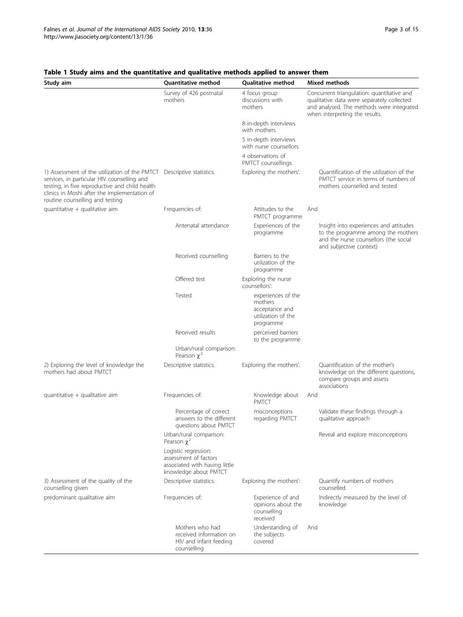| Study aim                                                                                                                                                                                                                                                 | Quantitative method                                                                                     | Qualitative method                                                                 | Mixed methods                                                                                                                                                           |
|-----------------------------------------------------------------------------------------------------------------------------------------------------------------------------------------------------------------------------------------------------------|---------------------------------------------------------------------------------------------------------|------------------------------------------------------------------------------------|-------------------------------------------------------------------------------------------------------------------------------------------------------------------------|
|                                                                                                                                                                                                                                                           | Survey of 426 postnatal<br>mothers                                                                      | 4 focus group<br>discussions with<br>mothers                                       | Concurrent triangulation: quantitative and<br>qualitative data were separately collected<br>and analysed. The methods were integrated<br>when interpreting the results. |
|                                                                                                                                                                                                                                                           |                                                                                                         | 8 in-depth interviews<br>with mothers                                              |                                                                                                                                                                         |
|                                                                                                                                                                                                                                                           |                                                                                                         | 5 in-depth interviews<br>with nurse counsellors                                    |                                                                                                                                                                         |
|                                                                                                                                                                                                                                                           |                                                                                                         | 4 observations of<br>PMTCT counsellings                                            |                                                                                                                                                                         |
| 1) Assessment of the utilization of the PMTCT Descriptive statistics:<br>services, in particular HIV counselling and<br>testing, in five reproductive and child health<br>clinics in Moshi after the implementation of<br>routine counselling and testing |                                                                                                         | Exploring the mothers':                                                            | Quantification of the utilization of the<br>PMTCT service in terms of numbers of<br>mothers counselled and tested                                                       |
| quantitative + qualitative aim                                                                                                                                                                                                                            | Frequencies of:                                                                                         | Attitudes to the<br>PMTCT programme                                                | And                                                                                                                                                                     |
|                                                                                                                                                                                                                                                           | Antenatal attendance                                                                                    | Experiences of the<br>programme                                                    | Insight into experiences and attitudes<br>to the programme among the mothers<br>and the nurse counsellors (the social<br>and subjective context)                        |
|                                                                                                                                                                                                                                                           | Received counselling                                                                                    | Barriers to the<br>utilization of the<br>programme                                 |                                                                                                                                                                         |
|                                                                                                                                                                                                                                                           | Offered test                                                                                            | Exploring the nurse<br>counsellors':                                               |                                                                                                                                                                         |
|                                                                                                                                                                                                                                                           | Tested                                                                                                  | experiences of the<br>mothers<br>acceptance and<br>utilization of the<br>programme |                                                                                                                                                                         |
|                                                                                                                                                                                                                                                           | Received results                                                                                        | perceived barriers<br>to the programme                                             |                                                                                                                                                                         |
|                                                                                                                                                                                                                                                           | Urban/rural comparison:<br>Pearson $\chi^2$                                                             |                                                                                    |                                                                                                                                                                         |
| 2) Exploring the level of knowledge the<br>mothers had about PMTCT                                                                                                                                                                                        | Descriptive statistics:                                                                                 | Exploring the mothers':                                                            | Quantification of the mother's<br>knowledge on the different questions,<br>compare groups and assess<br>associations                                                    |
| quantitative + qualitative aim                                                                                                                                                                                                                            | Frequencies of:                                                                                         | Knowledge about<br><b>PMTCT</b>                                                    | And                                                                                                                                                                     |
|                                                                                                                                                                                                                                                           | Percentage of correct<br>answers to the different<br>questions about PMTCT                              | misconceptions<br>regarding PMTCT                                                  | Validate these findings through a<br>qualitative approach                                                                                                               |
|                                                                                                                                                                                                                                                           | Urban/rural comparison:<br>Pearson $\chi^2$                                                             |                                                                                    | Reveal and explore misconceptions                                                                                                                                       |
|                                                                                                                                                                                                                                                           | Logistic regression:<br>assessment of factors<br>associated with having little<br>knowledge about PMTCT |                                                                                    |                                                                                                                                                                         |
| 3) Assessment of the quality of the<br>counselling given                                                                                                                                                                                                  | Descriptive statistics:                                                                                 | Exploring the mothers':                                                            | Quantify numbers of mothers<br>counselled                                                                                                                               |
| predominant qualitative aim                                                                                                                                                                                                                               | Frequencies of:                                                                                         | Experience of and<br>opinions about the<br>counselling<br>received                 | Indirectly measured by the level of<br>knowledge                                                                                                                        |
|                                                                                                                                                                                                                                                           | Mothers who had<br>received information on<br>HIV and infant feeding<br>counselling                     | Understanding of<br>the subjects<br>covered                                        | And                                                                                                                                                                     |

## <span id="page-2-0"></span>Table 1 Study aims and the quantitative and qualitative methods applied to answer them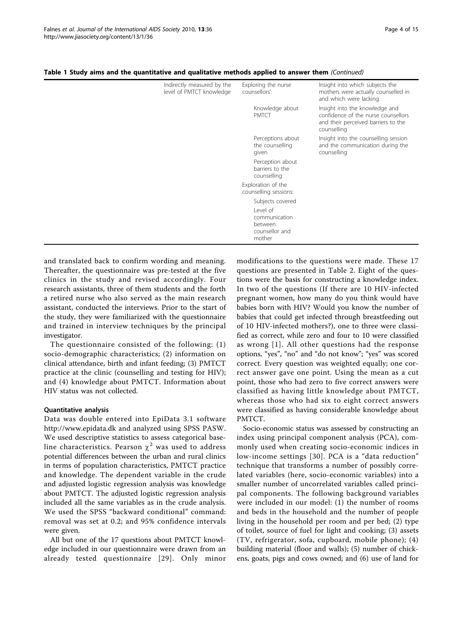|                                                                                                | $\sim$ , staa) and and the gaantitative and gaantative methods applied to answer them (committed)                           |
|------------------------------------------------------------------------------------------------|-----------------------------------------------------------------------------------------------------------------------------|
| Indirectly measured by the<br>Exploring the nurse<br>level of PMTCT knowledge<br>counsellors': | Insight into which subjects the<br>mothers were actually counselled in<br>and which were lacking                            |
| Knowledge about<br><b>PMTCT</b>                                                                | Insight into the knowledge and<br>confidence of the nurse counsellors<br>and their perceived barriers to the<br>counselling |
| Perceptions about<br>the counselling<br>given                                                  | Insight into the counselling session<br>and the communication during the<br>counselling                                     |
| Perception about<br>barriers to the<br>counselling                                             |                                                                                                                             |
| Exploration of the<br>counselling sessions:                                                    |                                                                                                                             |
| Subjects covered                                                                               |                                                                                                                             |
| Level of<br>communication<br>between<br>counsellor and<br>mother                               |                                                                                                                             |
|                                                                                                |                                                                                                                             |

Table 1 Study aims and the quantitative and qualitative methods applied to answer them (Continued)

and translated back to confirm wording and meaning. Thereafter, the questionnaire was pre-tested at the five clinics in the study and revised accordingly. Four research assistants, three of them students and the forth a retired nurse who also served as the main research assistant, conducted the interviews. Prior to the start of the study, they were familiarized with the questionnaire and trained in interview techniques by the principal investigator.

The questionnaire consisted of the following: (1) socio-demographic characteristics; (2) information on clinical attendance, birth and infant feeding; (3) PMTCT practice at the clinic (counselling and testing for HIV); and (4) knowledge about PMTCT. Information about HIV status was not collected.

#### Quantitative analysis

Data was double entered into EpiData 3.1 software <http://www.epidata.dk> and analyzed using SPSS PASW. We used descriptive statistics to assess categorical baseline characteristics. Pearson  $\chi^2$  was used to address potential differences between the urban and rural clinics in terms of population characteristics, PMTCT practice and knowledge. The dependent variable in the crude and adjusted logistic regression analysis was knowledge about PMTCT. The adjusted logistic regression analysis included all the same variables as in the crude analysis. We used the SPSS "backward conditional" command: removal was set at 0.2; and 95% confidence intervals were given.

All but one of the 17 questions about PMTCT knowledge included in our questionnaire were drawn from an already tested questionnaire [[29](#page-13-0)]. Only minor modifications to the questions were made. These 17 questions are presented in Table [2](#page-5-0). Eight of the questions were the basis for constructing a knowledge index. In two of the questions (If there are 10 HIV-infected pregnant women, how many do you think would have babies born with HIV? Would you know the number of babies that could get infected through breastfeeding out of 10 HIV-infected mothers?), one to three were classified as correct, while zero and four to 10 were classified as wrong [[1\]](#page-13-0). All other questions had the response options, "yes", "no" and "do not know"; "yes" was scored correct. Every question was weighted equally; one correct answer gave one point. Using the mean as a cut point, those who had zero to five correct answers were classified as having little knowledge about PMTCT, whereas those who had six to eight correct answers were classified as having considerable knowledge about PMTCT.

Socio-economic status was assessed by constructing an index using principal component analysis (PCA), commonly used when creating socio-economic indices in low-income settings [[30\]](#page-14-0). PCA is a "data reduction" technique that transforms a number of possibly correlated variables (here, socio-economic variables) into a smaller number of uncorrelated variables called principal components. The following background variables were included in our model: (1) the number of rooms and beds in the household and the number of people living in the household per room and per bed; (2) type of toilet, source of fuel for light and cooking; (3) assets (TV, refrigerator, sofa, cupboard, mobile phone); (4) building material (floor and walls); (5) number of chickens, goats, pigs and cows owned; and (6) use of land for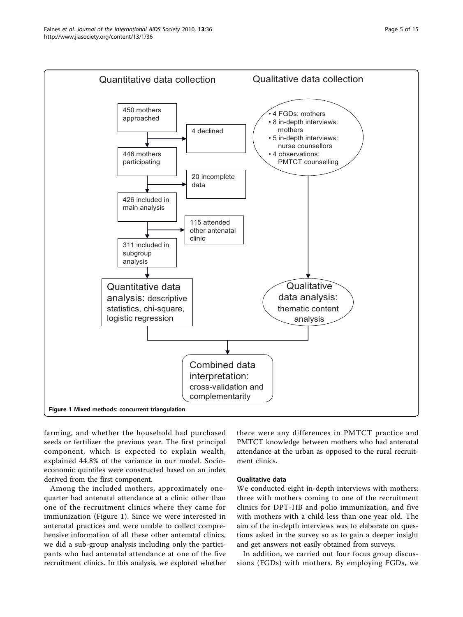<span id="page-4-0"></span>

farming, and whether the household had purchased seeds or fertilizer the previous year. The first principal component, which is expected to explain wealth, explained 44.8% of the variance in our model. Socioeconomic quintiles were constructed based on an index derived from the first component.

Among the included mothers, approximately onequarter had antenatal attendance at a clinic other than one of the recruitment clinics where they came for immunization (Figure 1). Since we were interested in antenatal practices and were unable to collect comprehensive information of all these other antenatal clinics, we did a sub-group analysis including only the participants who had antenatal attendance at one of the five recruitment clinics. In this analysis, we explored whether there were any differences in PMTCT practice and PMTCT knowledge between mothers who had antenatal attendance at the urban as opposed to the rural recruitment clinics.

#### Qualitative data

We conducted eight in-depth interviews with mothers: three with mothers coming to one of the recruitment clinics for DPT-HB and polio immunization, and five with mothers with a child less than one year old. The aim of the in-depth interviews was to elaborate on questions asked in the survey so as to gain a deeper insight and get answers not easily obtained from surveys.

In addition, we carried out four focus group discussions (FGDs) with mothers. By employing FGDs, we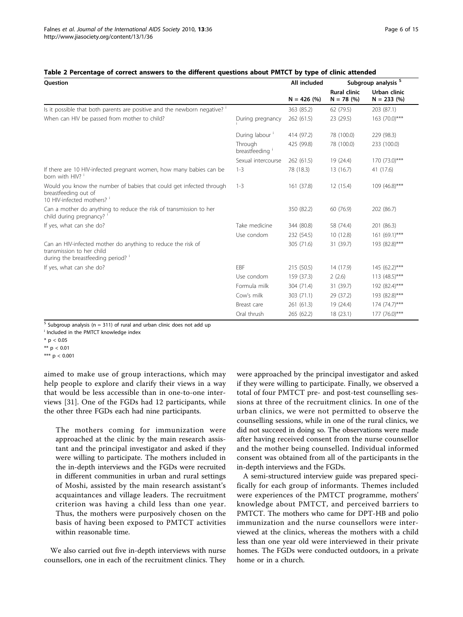| Question                                                                                                                             |                                       | All included  |                                    | Subgroup analysis <sup>5</sup> |
|--------------------------------------------------------------------------------------------------------------------------------------|---------------------------------------|---------------|------------------------------------|--------------------------------|
|                                                                                                                                      |                                       | $N = 426 (%)$ | <b>Rural clinic</b><br>$N = 78(%)$ | Urban clinic<br>$N = 233 (%)$  |
| Is it possible that both parents are positive and the newborn negative?                                                              |                                       | 363 (85.2)    | 62 (79.5)                          | 203 (87.1)                     |
| When can HIV be passed from mother to child?                                                                                         | During pregnancy                      | 262 (61.5)    | 23 (29.5)                          | 163 (70.0)***                  |
|                                                                                                                                      | During labour                         | 414 (97.2)    | 78 (100.0)                         | 229 (98.3)                     |
|                                                                                                                                      | Through<br>breastfeeding <sup>1</sup> | 425 (99.8)    | 78 (100.0)                         | 233 (100.0)                    |
|                                                                                                                                      | Sexual intercourse                    | 262(61.5)     | 19 (24.4)                          | 170 (73.0)***                  |
| If there are 10 HIV-infected pregnant women, how many babies can be<br>born with HIV?                                                | $1 - 3$                               | 78 (18.3)     | 13 (16.7)                          | 41 (17.6)                      |
| Would you know the number of babies that could get infected through<br>breastfeeding out of<br>10 HIV-infected mothers? <sup>1</sup> | $1 - 3$                               | 161 (37.8)    | 12 (15.4)                          | 109 (46.8)***                  |
| Can a mother do anything to reduce the risk of transmission to her<br>child during pregnancy?                                        |                                       | 350 (82.2)    | 60 (76.9)                          | 202 (86.7)                     |
| If yes, what can she do?                                                                                                             | Take medicine                         | 344 (80.8)    | 58 (74.4)                          | 201 (86.3)                     |
|                                                                                                                                      | Use condom                            | 232 (54.5)    | 10(12.8)                           | 161 (69.1)***                  |
| Can an HIV-infected mother do anything to reduce the risk of<br>transmission to her child<br>during the breastfeeding period?        |                                       | 305 (71.6)    | 31 (39.7)                          | 193 (82.8)***                  |
| If yes, what can she do?                                                                                                             | FBF                                   | 215(50.5)     | 14 (17.9)                          | 145 (62.2)***                  |
|                                                                                                                                      | Use condom                            | 159 (37.3)    | 2(2.6)                             | 113 (48.5)***                  |
|                                                                                                                                      | Formula milk                          | 304 (71.4)    | 31 (39.7)                          | 192 (82.4)***                  |
|                                                                                                                                      | Cow's milk                            | 303 (71.1)    | 29 (37.2)                          | 193 (82.8)***                  |
|                                                                                                                                      | Breast care                           | 261 (61.3)    | 19 (24.4)                          | 174 (74.7)***                  |
|                                                                                                                                      | Oral thrush                           | 265 (62.2)    | 18(23.1)                           | 177 (76.0)***                  |
|                                                                                                                                      |                                       |               |                                    |                                |

#### <span id="page-5-0"></span>Table 2 Percentage of correct answers to the different questions about PMTCT by type of clinic attended

 $\overline{\text{S}}$  Subgroup analysis (n = 311) of rural and urban clinic does not add up

<sup>i</sup> Included in the PMTCT knowledge index

\*\*\*  $p < 0.001$ 

aimed to make use of group interactions, which may help people to explore and clarify their views in a way that would be less accessible than in one-to-one interviews [[31](#page-14-0)]. One of the FGDs had 12 participants, while the other three FGDs each had nine participants.

The mothers coming for immunization were approached at the clinic by the main research assistant and the principal investigator and asked if they were willing to participate. The mothers included in the in-depth interviews and the FGDs were recruited in different communities in urban and rural settings of Moshi, assisted by the main research assistant's acquaintances and village leaders. The recruitment criterion was having a child less than one year. Thus, the mothers were purposively chosen on the basis of having been exposed to PMTCT activities within reasonable time.

We also carried out five in-depth interviews with nurse counsellors, one in each of the recruitment clinics. They were approached by the principal investigator and asked if they were willing to participate. Finally, we observed a total of four PMTCT pre- and post-test counselling sessions at three of the recruitment clinics. In one of the urban clinics, we were not permitted to observe the counselling sessions, while in one of the rural clinics, we did not succeed in doing so. The observations were made after having received consent from the nurse counsellor and the mother being counselled. Individual informed consent was obtained from all of the participants in the in-depth interviews and the FGDs.

A semi-structured interview guide was prepared specifically for each group of informants. Themes included were experiences of the PMTCT programme, mothers' knowledge about PMTCT, and perceived barriers to PMTCT. The mothers who came for DPT-HB and polio immunization and the nurse counsellors were interviewed at the clinics, whereas the mothers with a child less than one year old were interviewed in their private homes. The FGDs were conducted outdoors, in a private home or in a church.

 $*$  p < 0.05

<sup>\*\*</sup>  $p < 0.01$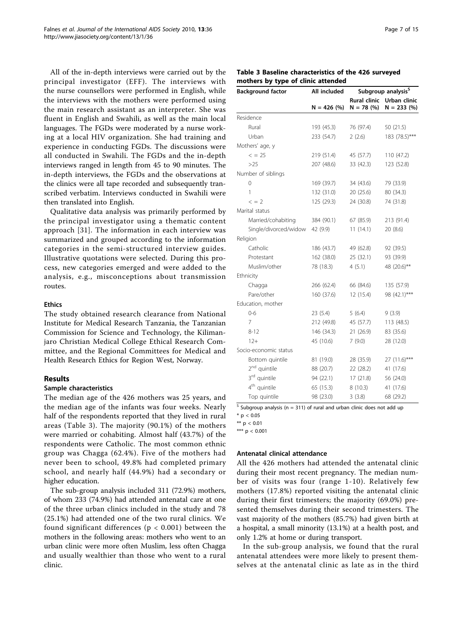All of the in-depth interviews were carried out by the principal investigator (EFF). The interviews with the nurse counsellors were performed in English, while the interviews with the mothers were performed using the main research assistant as an interpreter. She was fluent in English and Swahili, as well as the main local languages. The FGDs were moderated by a nurse working at a local HIV organization. She had training and experience in conducting FGDs. The discussions were all conducted in Swahili. The FGDs and the in-depth interviews ranged in length from 45 to 90 minutes. The in-depth interviews, the FGDs and the observations at the clinics were all tape recorded and subsequently transcribed verbatim. Interviews conducted in Swahili were then translated into English.

Qualitative data analysis was primarily performed by the principal investigator using a thematic content approach [[31](#page-14-0)]. The information in each interview was summarized and grouped according to the information categories in the semi-structured interview guides. Illustrative quotations were selected. During this process, new categories emerged and were added to the analysis, e.g., misconceptions about transmission routes.

### Ethics

The study obtained research clearance from National Institute for Medical Research Tanzania, the Tanzanian Commission for Science and Technology, the Kilimanjaro Christian Medical College Ethical Research Committee, and the Regional Committees for Medical and Health Research Ethics for Region West, Norway.

#### Results

#### Sample characteristics

The median age of the 426 mothers was 25 years, and the median age of the infants was four weeks. Nearly half of the respondents reported that they lived in rural areas (Table 3). The majority (90.1%) of the mothers were married or cohabiting. Almost half (43.7%) of the respondents were Catholic. The most common ethnic group was Chagga (62.4%). Five of the mothers had never been to school, 49.8% had completed primary school, and nearly half (44.9%) had a secondary or higher education.

The sub-group analysis included 311 (72.9%) mothers, of whom 233 (74.9%) had attended antenatal care at one of the three urban clinics included in the study and 78 (25.1%) had attended one of the two rural clinics. We found significant differences ( $p < 0.001$ ) between the mothers in the following areas: mothers who went to an urban clinic were more often Muslim, less often Chagga and usually wealthier than those who went to a rural clinic.

|  | Page 7 of 15 |  |  |  |
|--|--------------|--|--|--|
|--|--------------|--|--|--|

Table 3 Baseline characteristics of the 426 surveyed mothers by type of clinic attended

| <b>Background factor</b> | All included  |                             | Subgroup analysis <sup>S</sup> |
|--------------------------|---------------|-----------------------------|--------------------------------|
|                          | $N = 426$ (%) | Rural clinic<br>$N = 78(%)$ | Urban clinic<br>$N = 233 (%)$  |
| Residence                |               |                             |                                |
| Rural                    | 193 (45.3)    | 76 (97.4)                   | 50 (21.5)                      |
| Urban                    | 233 (54.7)    | 2(2.6)                      | 183 (78.5)***                  |
| Mothers' age, y          |               |                             |                                |
| $\leq$ = 25              | 219 (51.4)    | 45 (57.7)                   | 110 (47.2)                     |
| >25                      | 207 (48.6)    | 33 (42.3)                   | 123 (52.8)                     |
| Number of siblings       |               |                             |                                |
| 0                        | 169 (39.7)    | 34 (43.6)                   | 79 (33.9)                      |
| 1                        | 132 (31.0)    | 20(25.6)                    | 80 (34.3)                      |
| $\leq$ = 2               | 125 (29.3)    | 24 (30.8)                   | 74 (31.8)                      |
| Marital status           |               |                             |                                |
| Married/cohabiting       | 384 (90.1)    | 67 (85.9)                   | 213 (91.4)                     |
| Single/divorced/widow    | 42 (9.9)      | 11(14.1)                    | 20(8.6)                        |
| Religion                 |               |                             |                                |
| Catholic                 | 186 (43.7)    | 49 (62.8)                   | 92 (39.5)                      |
| Protestant               | 162 (38.0)    | 25(32.1)                    | 93 (39.9)                      |
| Muslim/other             | 78 (18.3)     | 4(5.1)                      | 48 (20.6)**                    |
| Ethnicity                |               |                             |                                |
| Chagga                   | 266 (62.4)    | 66 (84.6)                   | 135 (57.9)                     |
| Pare/other               | 160 (37.6)    | 12(15.4)                    | 98 (42.1)***                   |
| Education, mother        |               |                             |                                |
| $0 - 6$                  | 23 (5.4)      | 5(6.4)                      | 9(3.9)                         |
| 7                        | 212 (49.8)    | 45 (57.7)                   | 113 (48.5)                     |
| $8 - 12$                 | 146 (34.3)    | 21(26.9)                    | 83 (35.6)                      |
| $12+$                    | 45 (10.6)     | 7(9.0)                      | 28 (12.0)                      |
| Socio-economic status    |               |                             |                                |
| Bottom quintile          | 81 (19.0)     | 28 (35.9)                   | 27 (11.6)***                   |
| 2 <sup>nd</sup> quintile | 88 (20.7)     | 22(28.2)                    | 41 (17.6)                      |
| 3 <sup>rd</sup> quintile | 94 (22.1)     | 17(21.8)                    | 56 (24.0)                      |
| 4 <sup>th</sup> quintile | 65 (15.3)     | 8(10.3)                     | 41 (17.6)                      |
| Top quintile             | 98 (23.0)     | 3(3.8)                      | 68 (29.2)                      |

 $S$  Subgroup analysis (n = 311) of rural and urban clinic does not add up

 $*$  p < 0.05

\*\*  $p < 0.01$ 

\*\*\*  $p < 0.001$ 

### Antenatal clinical attendance

All the 426 mothers had attended the antenatal clinic during their most recent pregnancy. The median number of visits was four (range 1-10). Relatively few mothers (17.8%) reported visiting the antenatal clinic during their first trimesters; the majority (69.0%) presented themselves during their second trimesters. The vast majority of the mothers (85.7%) had given birth at a hospital, a small minority (13.1%) at a health post, and only 1.2% at home or during transport.

In the sub-group analysis, we found that the rural antenatal attendees were more likely to present themselves at the antenatal clinic as late as in the third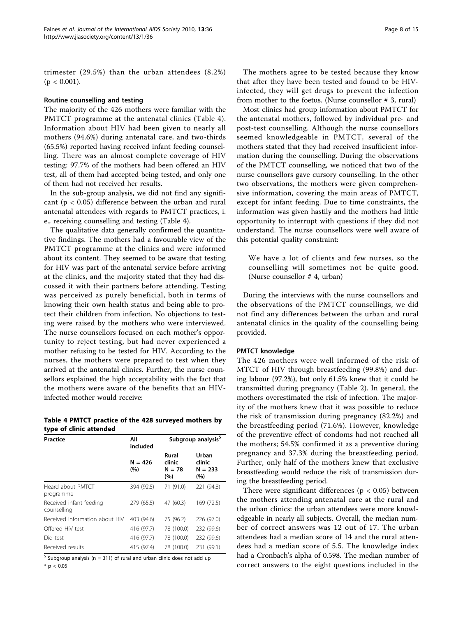<span id="page-7-0"></span>trimester (29.5%) than the urban attendees (8.2%)  $(p < 0.001)$ .

#### Routine counselling and testing

The majority of the 426 mothers were familiar with the PMTCT programme at the antenatal clinics (Table 4). Information about HIV had been given to nearly all mothers (94.6%) during antenatal care, and two-thirds (65.5%) reported having received infant feeding counselling. There was an almost complete coverage of HIV testing: 97.7% of the mothers had been offered an HIV test, all of them had accepted being tested, and only one of them had not received her results.

In the sub-group analysis, we did not find any significant ( $p < 0.05$ ) difference between the urban and rural antenatal attendees with regards to PMTCT practices, i. e., receiving counselling and testing (Table 4).

The qualitative data generally confirmed the quantitative findings. The mothers had a favourable view of the PMTCT programme at the clinics and were informed about its content. They seemed to be aware that testing for HIV was part of the antenatal service before arriving at the clinics, and the majority stated that they had discussed it with their partners before attending. Testing was perceived as purely beneficial, both in terms of knowing their own health status and being able to protect their children from infection. No objections to testing were raised by the mothers who were interviewed. The nurse counsellors focused on each mother's opportunity to reject testing, but had never experienced a mother refusing to be tested for HIV. According to the nurses, the mothers were prepared to test when they arrived at the antenatal clinics. Further, the nurse counsellors explained the high acceptability with the fact that the mothers were aware of the benefits that an HIVinfected mother would receive:

Table 4 PMTCT practice of the 428 surveyed mothers by type of clinic attended

| Practice                               | All<br>included  | Subgroup analysis <sup>5</sup>     |                                     |  |
|----------------------------------------|------------------|------------------------------------|-------------------------------------|--|
|                                        | $N = 426$<br>(%) | Rural<br>clinic<br>$N = 78$<br>(%) | Urban<br>clinic<br>$N = 233$<br>(%) |  |
| Heard about PMTCT<br>programme         | 394 (92.5)       | 71 (91.0)                          | 221 (94.8)                          |  |
| Received infant feeding<br>counselling | 279 (65.5)       | 47 (60.3)                          | 169 (72.5)                          |  |
| Received information about HIV         | 403 (94.6)       | 75 (96.2)                          | 226 (97.0)                          |  |
| Offered HIV test                       | 416 (97.7)       | 78 (100.0)                         | 232 (99.6)                          |  |
| Did test                               | 416 (97.7)       | 78 (100.0)                         | 232 (99.6)                          |  |
| Received results                       | 415 (97.4)       | 78 (100.0)                         | 231 (99.1)                          |  |

 $S$  Subgroup analysis (n = 311) of rural and urban clinic does not add up

 $*$  p < 0.05

The mothers agree to be tested because they know that after they have been tested and found to be HIVinfected, they will get drugs to prevent the infection from mother to the foetus. (Nurse counsellor # 3, rural)

Most clinics had group information about PMTCT for the antenatal mothers, followed by individual pre- and post-test counselling. Although the nurse counsellors seemed knowledgeable in PMTCT, several of the mothers stated that they had received insufficient information during the counselling. During the observations of the PMTCT counselling, we noticed that two of the nurse counsellors gave cursory counselling. In the other two observations, the mothers were given comprehensive information, covering the main areas of PMTCT, except for infant feeding. Due to time constraints, the information was given hastily and the mothers had little opportunity to interrupt with questions if they did not understand. The nurse counsellors were well aware of this potential quality constraint:

We have a lot of clients and few nurses, so the counselling will sometimes not be quite good. (Nurse counsellor # 4, urban)

During the interviews with the nurse counsellors and the observations of the PMTCT counsellings, we did not find any differences between the urban and rural antenatal clinics in the quality of the counselling being provided.

#### PMTCT knowledge

The 426 mothers were well informed of the risk of MTCT of HIV through breastfeeding (99.8%) and during labour (97.2%), but only 61.5% knew that it could be transmitted during pregnancy (Table [2\)](#page-5-0). In general, the mothers overestimated the risk of infection. The majority of the mothers knew that it was possible to reduce the risk of transmission during pregnancy (82.2%) and the breastfeeding period (71.6%). However, knowledge of the preventive effect of condoms had not reached all the mothers; 54.5% confirmed it as a preventive during pregnancy and 37.3% during the breastfeeding period. Further, only half of the mothers knew that exclusive breastfeeding would reduce the risk of transmission during the breastfeeding period.

There were significant differences ( $p < 0.05$ ) between the mothers attending antenatal care at the rural and the urban clinics: the urban attendees were more knowledgeable in nearly all subjects. Overall, the median number of correct answers was 12 out of 17. The urban attendees had a median score of 14 and the rural attendees had a median score of 5.5. The knowledge index had a Cronbach's alpha of 0.598. The median number of correct answers to the eight questions included in the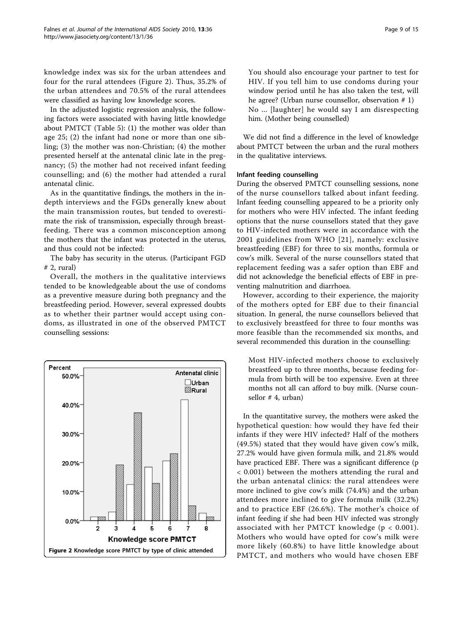knowledge index was six for the urban attendees and four for the rural attendees (Figure 2). Thus, 35.2% of the urban attendees and 70.5% of the rural attendees were classified as having low knowledge scores.

In the adjusted logistic regression analysis, the following factors were associated with having little knowledge about PMTCT (Table [5\)](#page-9-0): (1) the mother was older than age 25; (2) the infant had none or more than one sibling; (3) the mother was non-Christian; (4) the mother presented herself at the antenatal clinic late in the pregnancy; (5) the mother had not received infant feeding counselling; and (6) the mother had attended a rural antenatal clinic.

As in the quantitative findings, the mothers in the indepth interviews and the FGDs generally knew about the main transmission routes, but tended to overestimate the risk of transmission, especially through breastfeeding. There was a common misconception among the mothers that the infant was protected in the uterus, and thus could not be infected:

The baby has security in the uterus. (Participant FGD # 2, rural)

Overall, the mothers in the qualitative interviews tended to be knowledgeable about the use of condoms as a preventive measure during both pregnancy and the breastfeeding period. However, several expressed doubts as to whether their partner would accept using condoms, as illustrated in one of the observed PMTCT counselling sessions:



You should also encourage your partner to test for HIV. If you tell him to use condoms during your window period until he has also taken the test, will he agree? (Urban nurse counsellor, observation # 1) No ... [laughter] he would say I am disrespecting him. (Mother being counselled)

We did not find a difference in the level of knowledge about PMTCT between the urban and the rural mothers in the qualitative interviews.

#### Infant feeding counselling

During the observed PMTCT counselling sessions, none of the nurse counsellors talked about infant feeding. Infant feeding counselling appeared to be a priority only for mothers who were HIV infected. The infant feeding options that the nurse counsellors stated that they gave to HIV-infected mothers were in accordance with the 2001 guidelines from WHO [[21\]](#page-13-0), namely: exclusive breastfeeding (EBF) for three to six months, formula or cow's milk. Several of the nurse counsellors stated that replacement feeding was a safer option than EBF and did not acknowledge the beneficial effects of EBF in preventing malnutrition and diarrhoea.

However, according to their experience, the majority of the mothers opted for EBF due to their financial situation. In general, the nurse counsellors believed that to exclusively breastfeed for three to four months was more feasible than the recommended six months, and several recommended this duration in the counselling:

Most HIV-infected mothers choose to exclusively breastfeed up to three months, because feeding formula from birth will be too expensive. Even at three months not all can afford to buy milk. (Nurse counsellor # 4, urban)

In the quantitative survey, the mothers were asked the hypothetical question: how would they have fed their infants if they were HIV infected? Half of the mothers (49.5%) stated that they would have given cow's milk, 27.2% would have given formula milk, and 21.8% would have practiced EBF. There was a significant difference (p < 0.001) between the mothers attending the rural and the urban antenatal clinics: the rural attendees were more inclined to give cow's milk (74.4%) and the urban attendees more inclined to give formula milk (32.2%) and to practice EBF (26.6%). The mother's choice of infant feeding if she had been HIV infected was strongly associated with her PMTCT knowledge (p < 0.001). Mothers who would have opted for cow's milk were more likely (60.8%) to have little knowledge about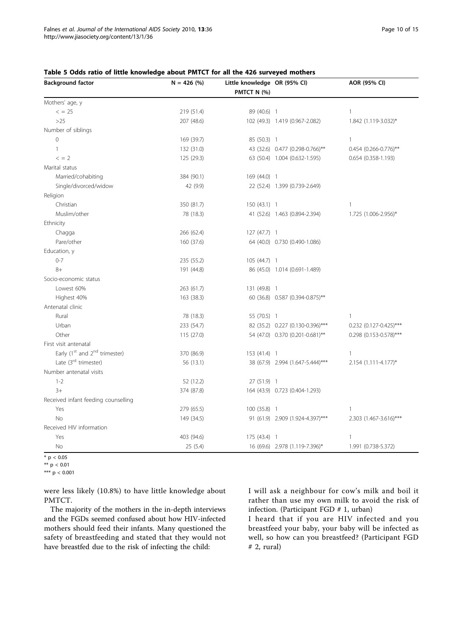| <b>Background factor</b>                              | $N = 426$ (%) | Little knowledge OR (95% CI) |                                  | AOR (95% CI)            |
|-------------------------------------------------------|---------------|------------------------------|----------------------------------|-------------------------|
|                                                       |               | PMTCT N (%)                  |                                  |                         |
| Mothers' age, y                                       |               |                              |                                  |                         |
| $<$ = 25                                              | 219 (51.4)    | 89 (40.6) 1                  |                                  | 1                       |
| $>25$                                                 | 207 (48.6)    |                              | 102 (49.3) 1.419 (0.967-2.082)   | 1.842 (1.119-3.032)*    |
| Number of siblings                                    |               |                              |                                  |                         |
| $\circ$                                               | 169 (39.7)    | 85 (50.3) 1                  |                                  | $\mathbf{1}$            |
| $\mathbf{1}$                                          | 132 (31.0)    |                              | 43 (32.6) 0.477 (0.298-0.766)**  | $0.454$ (0.266-0.776)** |
| $\leq$ = 2                                            | 125 (29.3)    |                              | 63 (50.4) 1.004 (0.632-1.595)    | $0.654$ $(0.358-1.193)$ |
| Marital status                                        |               |                              |                                  |                         |
| Married/cohabiting                                    | 384 (90.1)    | 169 (44.0) 1                 |                                  |                         |
| Single/divorced/widow                                 | 42 (9.9)      |                              | 22 (52.4) 1.399 (0.739-2.649)    |                         |
| Religion                                              |               |                              |                                  |                         |
| Christian                                             | 350 (81.7)    | $150(43.1)$ 1                |                                  | 1                       |
| Muslim/other                                          | 78 (18.3)     |                              | 41 (52.6) 1.463 (0.894-2.394)    | 1.725 (1.006-2.956)*    |
| Ethnicity                                             |               |                              |                                  |                         |
| Chagga                                                | 266 (62.4)    | $127(47.7)$ 1                |                                  |                         |
| Pare/other                                            | 160 (37.6)    |                              | 64 (40.0) 0.730 (0.490-1.086)    |                         |
| Education, y                                          |               |                              |                                  |                         |
| $0 - 7$                                               | 235 (55.2)    | 105 (44.7) 1                 |                                  |                         |
| $8+$                                                  | 191 (44.8)    |                              | 86 (45.0) 1.014 (0.691-1.489)    |                         |
| Socio-economic status                                 |               |                              |                                  |                         |
| Lowest 60%                                            | 263 (61.7)    | 131 (49.8) 1                 |                                  |                         |
| Highest 40%                                           | 163 (38.3)    |                              | 60 (36.8) 0.587 (0.394-0.875)**  |                         |
| Antenatal clinic                                      |               |                              |                                  |                         |
| Rural                                                 | 78 (18.3)     | 55 (70.5) 1                  |                                  | $\mathbf{1}$            |
| Urban                                                 | 233 (54.7)    |                              | 82 (35.2) 0.227 (0.130-0.396)*** | 0.232 (0.127-0.425)***  |
| Other                                                 | 115 (27.0)    |                              | 54 (47.0) 0.370 (0.201-0.681)**  | 0.298 (0.153-0.578)***  |
| First visit antenatal                                 |               |                              |                                  |                         |
| Early (1 <sup>st</sup> and 2 <sup>nd</sup> trimester) | 370 (86.9)    | 153 (41.4) 1                 |                                  | $\mathbf{1}$            |
| Late $(3rd$ trimester)                                | 56 (13.1)     |                              | 38 (67.9) 2.994 (1.647-5.444)*** | 2.154 (1.111-4.177)*    |
| Number antenatal visits                               |               |                              |                                  |                         |
| $1 - 2$                                               | 52 (12.2)     | $27(51.9)$ 1                 |                                  |                         |
| $3+$                                                  | 374 (87.8)    |                              | 164 (43.9) 0.723 (0.404-1.293)   |                         |
| Received infant feeding counselling                   |               |                              |                                  |                         |
| Yes                                                   | 279 (65.5)    | $100(35.8)$ 1                |                                  | 1                       |
| <b>No</b>                                             | 149 (34.5)    |                              | 91 (61.9) 2.909 (1.924-4.397)*** | 2.303 (1.467-3.616)***  |
| Received HIV information                              |               |                              |                                  |                         |
| Yes                                                   | 403 (94.6)    | 175 (43.4) 1                 |                                  | 1                       |
| No                                                    | 25(5.4)       |                              | 16 (69.6) 2.978 (1.119-7.396)*   | 1.991 (0.738-5.372)     |

## <span id="page-9-0"></span>Table 5 Odds ratio of little knowledge about PMTCT for all the 426 surveyed mothers

 $*$  p < 0.05 \*\*  $p < 0.01$ 

\*\*\* p < 0.001

were less likely (10.8%) to have little knowledge about PMTCT.

The majority of the mothers in the in-depth interviews and the FGDs seemed confused about how HIV-infected mothers should feed their infants. Many questioned the safety of breastfeeding and stated that they would not have breastfed due to the risk of infecting the child:

I will ask a neighbour for cow's milk and boil it rather than use my own milk to avoid the risk of infection. (Participant FGD # 1, urban)

I heard that if you are HIV infected and you breastfeed your baby, your baby will be infected as well, so how can you breastfeed? (Participant FGD # 2, rural)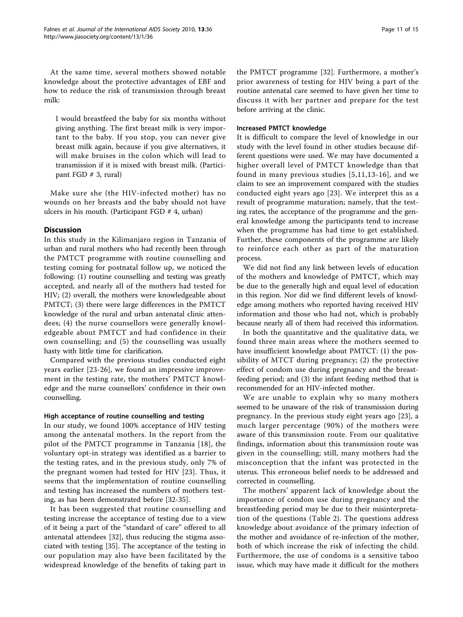At the same time, several mothers showed notable knowledge about the protective advantages of EBF and how to reduce the risk of transmission through breast milk:

I would breastfeed the baby for six months without giving anything. The first breast milk is very important to the baby. If you stop, you can never give breast milk again, because if you give alternatives, it will make bruises in the colon which will lead to transmission if it is mixed with breast milk. (Participant FGD # 3, rural)

Make sure she (the HIV-infected mother) has no wounds on her breasts and the baby should not have ulcers in his mouth. (Participant FGD # 4, urban)

### **Discussion**

In this study in the Kilimanjaro region in Tanzania of urban and rural mothers who had recently been through the PMTCT programme with routine counselling and testing coming for postnatal follow up, we noticed the following: (1) routine counselling and testing was greatly accepted, and nearly all of the mothers had tested for HIV; (2) overall, the mothers were knowledgeable about PMTCT; (3) there were large differences in the PMTCT knowledge of the rural and urban antenatal clinic attendees; (4) the nurse counsellors were generally knowledgeable about PMTCT and had confidence in their own counselling; and (5) the counselling was usually hasty with little time for clarification.

Compared with the previous studies conducted eight years earlier [[23](#page-13-0)-[26\]](#page-13-0), we found an impressive improvement in the testing rate, the mothers' PMTCT knowledge and the nurse counsellors' confidence in their own counselling.

#### High acceptance of routine counselling and testing

In our study, we found 100% acceptance of HIV testing among the antenatal mothers. In the report from the pilot of the PMTCT programme in Tanzania [[18](#page-13-0)], the voluntary opt-in strategy was identified as a barrier to the testing rates, and in the previous study, only 7% of the pregnant women had tested for HIV [[23\]](#page-13-0). Thus, it seems that the implementation of routine counselling and testing has increased the numbers of mothers testing, as has been demonstrated before [\[32-35](#page-14-0)].

It has been suggested that routine counselling and testing increase the acceptance of testing due to a view of it being a part of the "standard of care" offered to all antenatal attendees [\[32](#page-14-0)], thus reducing the stigma associated with testing [[35\]](#page-14-0). The acceptance of the testing in our population may also have been facilitated by the widespread knowledge of the benefits of taking part in the PMTCT programme [[32\]](#page-14-0). Furthermore, a mother's prior awareness of testing for HIV being a part of the routine antenatal care seemed to have given her time to discuss it with her partner and prepare for the test before arriving at the clinic.

#### Increased PMTCT knowledge

It is difficult to compare the level of knowledge in our study with the level found in other studies because different questions were used. We may have documented a higher overall level of PMTCT knowledge than that found in many previous studies [[5](#page-13-0),[11](#page-13-0),[13](#page-13-0)-[16\]](#page-13-0), and we claim to see an improvement compared with the studies conducted eight years ago [\[23](#page-13-0)]. We interpret this as a result of programme maturation; namely, that the testing rates, the acceptance of the programme and the general knowledge among the participants tend to increase when the programme has had time to get established. Further, these components of the programme are likely to reinforce each other as part of the maturation process.

We did not find any link between levels of education of the mothers and knowledge of PMTCT, which may be due to the generally high and equal level of education in this region. Nor did we find different levels of knowledge among mothers who reported having received HIV information and those who had not, which is probably because nearly all of them had received this information.

In both the quantitative and the qualitative data, we found three main areas where the mothers seemed to have insufficient knowledge about PMTCT: (1) the possibility of MTCT during pregnancy; (2) the protective effect of condom use during pregnancy and the breastfeeding period; and (3) the infant feeding method that is recommended for an HIV-infected mother.

We are unable to explain why so many mothers seemed to be unaware of the risk of transmission during pregnancy. In the previous study eight years ago [\[23](#page-13-0)], a much larger percentage (90%) of the mothers were aware of this transmission route. From our qualitative findings, information about this transmission route was given in the counselling; still, many mothers had the misconception that the infant was protected in the uterus. This erroneous belief needs to be addressed and corrected in counselling.

The mothers' apparent lack of knowledge about the importance of condom use during pregnancy and the breastfeeding period may be due to their misinterpretation of the questions (Table [2\)](#page-5-0). The questions address knowledge about avoidance of the primary infection of the mother and avoidance of re-infection of the mother, both of which increase the risk of infecting the child. Furthermore, the use of condoms is a sensitive taboo issue, which may have made it difficult for the mothers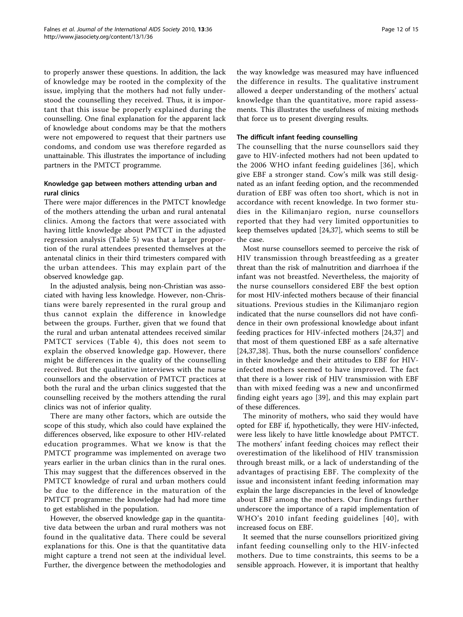to properly answer these questions. In addition, the lack of knowledge may be rooted in the complexity of the issue, implying that the mothers had not fully understood the counselling they received. Thus, it is important that this issue be properly explained during the counselling. One final explanation for the apparent lack of knowledge about condoms may be that the mothers were not empowered to request that their partners use condoms, and condom use was therefore regarded as unattainable. This illustrates the importance of including partners in the PMTCT programme.

## Knowledge gap between mothers attending urban and rural clinics

There were major differences in the PMTCT knowledge of the mothers attending the urban and rural antenatal clinics. Among the factors that were associated with having little knowledge about PMTCT in the adjusted regression analysis (Table [5\)](#page-9-0) was that a larger proportion of the rural attendees presented themselves at the antenatal clinics in their third trimesters compared with the urban attendees. This may explain part of the observed knowledge gap.

In the adjusted analysis, being non-Christian was associated with having less knowledge. However, non-Christians were barely represented in the rural group and thus cannot explain the difference in knowledge between the groups. Further, given that we found that the rural and urban antenatal attendees received similar PMTCT services (Table [4](#page-7-0)), this does not seem to explain the observed knowledge gap. However, there might be differences in the quality of the counselling received. But the qualitative interviews with the nurse counsellors and the observation of PMTCT practices at both the rural and the urban clinics suggested that the counselling received by the mothers attending the rural clinics was not of inferior quality.

There are many other factors, which are outside the scope of this study, which also could have explained the differences observed, like exposure to other HIV-related education programmes. What we know is that the PMTCT programme was implemented on average two years earlier in the urban clinics than in the rural ones. This may suggest that the differences observed in the PMTCT knowledge of rural and urban mothers could be due to the difference in the maturation of the PMTCT programme: the knowledge had had more time to get established in the population.

However, the observed knowledge gap in the quantitative data between the urban and rural mothers was not found in the qualitative data. There could be several explanations for this. One is that the quantitative data might capture a trend not seen at the individual level. Further, the divergence between the methodologies and the way knowledge was measured may have influenced the difference in results. The qualitative instrument allowed a deeper understanding of the mothers' actual knowledge than the quantitative, more rapid assessments. This illustrates the usefulness of mixing methods that force us to present diverging results.

## The difficult infant feeding counselling

The counselling that the nurse counsellors said they gave to HIV-infected mothers had not been updated to the 2006 WHO infant feeding guidelines [[36](#page-14-0)], which give EBF a stronger stand. Cow's milk was still designated as an infant feeding option, and the recommended duration of EBF was often too short, which is not in accordance with recent knowledge. In two former studies in the Kilimanjaro region, nurse counsellors reported that they had very limited opportunities to keep themselves updated [[24,](#page-13-0)[37\]](#page-14-0), which seems to still be the case.

Most nurse counsellors seemed to perceive the risk of HIV transmission through breastfeeding as a greater threat than the risk of malnutrition and diarrhoea if the infant was not breastfed. Nevertheless, the majority of the nurse counsellors considered EBF the best option for most HIV-infected mothers because of their financial situations. Previous studies in the Kilimanjaro region indicated that the nurse counsellors did not have confidence in their own professional knowledge about infant feeding practices for HIV-infected mothers [\[24](#page-13-0),[37\]](#page-14-0) and that most of them questioned EBF as a safe alternative [[24,](#page-13-0)[37,38\]](#page-14-0). Thus, both the nurse counsellors' confidence in their knowledge and their attitudes to EBF for HIVinfected mothers seemed to have improved. The fact that there is a lower risk of HIV transmission with EBF than with mixed feeding was a new and unconfirmed finding eight years ago [[39](#page-14-0)], and this may explain part of these differences.

The minority of mothers, who said they would have opted for EBF if, hypothetically, they were HIV-infected, were less likely to have little knowledge about PMTCT. The mothers' infant feeding choices may reflect their overestimation of the likelihood of HIV transmission through breast milk, or a lack of understanding of the advantages of practising EBF. The complexity of the issue and inconsistent infant feeding information may explain the large discrepancies in the level of knowledge about EBF among the mothers. Our findings further underscore the importance of a rapid implementation of WHO's 2010 infant feeding guidelines [[40](#page-14-0)], with increased focus on EBF.

It seemed that the nurse counsellors prioritized giving infant feeding counselling only to the HIV-infected mothers. Due to time constraints, this seems to be a sensible approach. However, it is important that healthy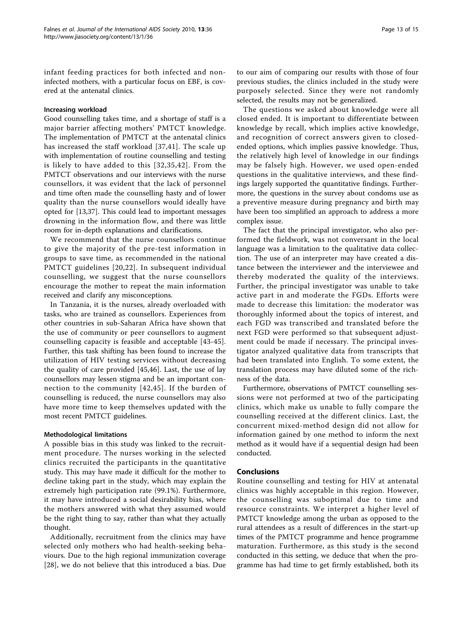infant feeding practices for both infected and noninfected mothers, with a particular focus on EBF, is covered at the antenatal clinics.

#### Increasing workload

Good counselling takes time, and a shortage of staff is a major barrier affecting mothers' PMTCT knowledge. The implementation of PMTCT at the antenatal clinics has increased the staff workload [[37](#page-14-0),[41](#page-14-0)]. The scale up with implementation of routine counselling and testing is likely to have added to this [[32](#page-14-0),[35](#page-14-0),[42\]](#page-14-0). From the PMTCT observations and our interviews with the nurse counsellors, it was evident that the lack of personnel and time often made the counselling hasty and of lower quality than the nurse counsellors would ideally have opted for [[13,](#page-13-0)[37\]](#page-14-0). This could lead to important messages drowning in the information flow, and there was little room for in-depth explanations and clarifications.

We recommend that the nurse counsellors continue to give the majority of the pre-test information in groups to save time, as recommended in the national PMTCT guidelines [[20](#page-13-0),[22](#page-13-0)]. In subsequent individual counselling, we suggest that the nurse counsellors encourage the mother to repeat the main information received and clarify any misconceptions.

In Tanzania, it is the nurses, already overloaded with tasks, who are trained as counsellors. Experiences from other countries in sub-Saharan Africa have shown that the use of community or peer counsellors to augment counselling capacity is feasible and acceptable [[43](#page-14-0)-[45](#page-14-0)]. Further, this task shifting has been found to increase the utilization of HIV testing services without decreasing the quality of care provided [[45,46](#page-14-0)]. Last, the use of lay counsellors may lessen stigma and be an important connection to the community [[42](#page-14-0),[45\]](#page-14-0). If the burden of counselling is reduced, the nurse counsellors may also have more time to keep themselves updated with the most recent PMTCT guidelines.

#### Methodological limitations

A possible bias in this study was linked to the recruitment procedure. The nurses working in the selected clinics recruited the participants in the quantitative study. This may have made it difficult for the mother to decline taking part in the study, which may explain the extremely high participation rate (99.1%). Furthermore, it may have introduced a social desirability bias, where the mothers answered with what they assumed would be the right thing to say, rather than what they actually thought.

Additionally, recruitment from the clinics may have selected only mothers who had health-seeking behaviours. Due to the high regional immunization coverage [[28\]](#page-13-0), we do not believe that this introduced a bias. Due to our aim of comparing our results with those of four previous studies, the clinics included in the study were purposely selected. Since they were not randomly selected, the results may not be generalized.

The questions we asked about knowledge were all closed ended. It is important to differentiate between knowledge by recall, which implies active knowledge, and recognition of correct answers given to closedended options, which implies passive knowledge. Thus, the relatively high level of knowledge in our findings may be falsely high. However, we used open-ended questions in the qualitative interviews, and these findings largely supported the quantitative findings. Furthermore, the questions in the survey about condoms use as a preventive measure during pregnancy and birth may have been too simplified an approach to address a more complex issue.

The fact that the principal investigator, who also performed the fieldwork, was not conversant in the local language was a limitation to the qualitative data collection. The use of an interpreter may have created a distance between the interviewer and the interviewee and thereby moderated the quality of the interviews. Further, the principal investigator was unable to take active part in and moderate the FGDs. Efforts were made to decrease this limitation: the moderator was thoroughly informed about the topics of interest, and each FGD was transcribed and translated before the next FGD were performed so that subsequent adjustment could be made if necessary. The principal investigator analyzed qualitative data from transcripts that had been translated into English. To some extent, the translation process may have diluted some of the richness of the data.

Furthermore, observations of PMTCT counselling sessions were not performed at two of the participating clinics, which make us unable to fully compare the counselling received at the different clinics. Last, the concurrent mixed-method design did not allow for information gained by one method to inform the next method as it would have if a sequential design had been conducted.

## Conclusions

Routine counselling and testing for HIV at antenatal clinics was highly acceptable in this region. However, the counselling was suboptimal due to time and resource constraints. We interpret a higher level of PMTCT knowledge among the urban as opposed to the rural attendees as a result of differences in the start-up times of the PMTCT programme and hence programme maturation. Furthermore, as this study is the second conducted in this setting, we deduce that when the programme has had time to get firmly established, both its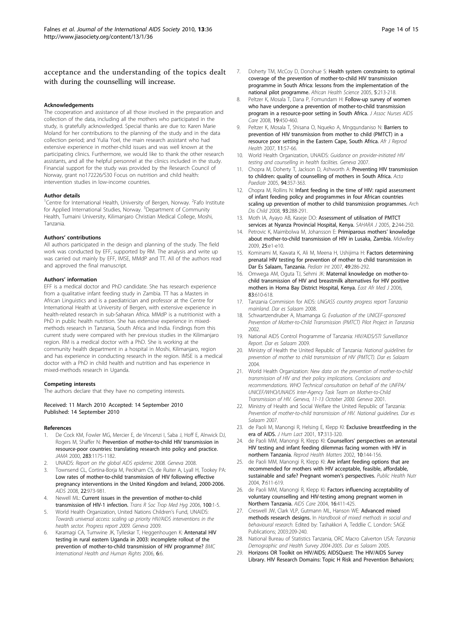<span id="page-13-0"></span>acceptance and the understanding of the topics dealt with during the counselling will increase.

#### Acknowledgements

The cooperation and assistance of all those involved in the preparation and collection of the data, including all the mothers who participated in the study, is gratefully acknowledged. Special thanks are due to: Karen Marie Moland for her contributions to the planning of the study and in the data collection period; and Yulia Yoel, the main research assistant who had extensive experience in mother-child issues and was well known at the participating clinics. Furthermore, we would like to thank the other research assistants, and all the helpful personnel at the clinics included in the study. Financial support for the study was provided by the Research Council of Norway, grant no172226/S30 Focus on nutrition and child health: intervention studies in low-income countries.

#### Author details

<sup>1</sup>Centre for International Health, University of Bergen, Norway. <sup>2</sup>Fafo Institute for Applied International Studies, Norway. <sup>3</sup>Department of Community Health, Tumaini University, Kilimanjaro Christian Medical College, Moshi, Tanzania.

#### Authors' contributions

All authors participated in the design and planning of the study. The field work was conducted by EFF, supported by RM. The analysis and write up was carried out mainly by EFF, IMSE, MMdP and TT. All of the authors read and approved the final manuscript.

#### Authors' information

EFF is a medical doctor and PhD candidate. She has research experience from a qualitative infant feeding study in Zambia. TT has a Masters in African Linguistics and is a paediatrician and professor at the Centre for International Health at University of Bergen, with extensive experience in health-related research in sub-Saharan Africa. MMdP is a nutritionist with a PhD in public health nutrition. She has extensive experience in mixedmethods research in Tanzania, South Africa and India. Findings from this current study were compared with her previous studies in the Kilimanjaro region. RM is a medical doctor with a PhD. She is working at the community health department in a hospital in Moshi, Kilimanjaro, region and has experience in conducting research in the region. IMSE is a medical doctor with a PhD in child health and nutrition and has experience in mixed-methods research in Uganda.

#### Competing interests

The authors declare that they have no competing interests.

#### Received: 11 March 2010 Accepted: 14 September 2010 Published: 14 September 2010

#### References

- 1. De Cock KM, Fowler MG, Mercier E, de Vincenzi I, Saba J, Hoff E, Alnwick DJ, Rogers M, Shaffer N: [Prevention of mother-to-child HIV transmission in](http://www.ncbi.nlm.nih.gov/pubmed/10703780?dopt=Abstract) [resource-poor countries: translating research into policy and practice.](http://www.ncbi.nlm.nih.gov/pubmed/10703780?dopt=Abstract) JAMA 2000, 283:1175-1182.
- 2. UNAIDS: Report on the global AIDS epidemic 2008. Geneva 2008.
- 3. Townsend CL, Cortina-Borja M, Peckham CS, de Ruiter A, Lyall H, Tookey PA: [Low rates of mother-to-child transmission of HIV following effective](http://www.ncbi.nlm.nih.gov/pubmed/18453857?dopt=Abstract) [pregnancy interventions in the United Kingdom and Ireland, 2000-2006.](http://www.ncbi.nlm.nih.gov/pubmed/18453857?dopt=Abstract) AIDS 2008, 22:973-981.
- Newell ML: [Current issues in the prevention of mother-to-child](http://www.ncbi.nlm.nih.gov/pubmed/16214193?dopt=Abstract) [transmission of HIV-1 infection.](http://www.ncbi.nlm.nih.gov/pubmed/16214193?dopt=Abstract) Trans R Soc Trop Med Hyg 2006, 100:1-5.
- 5. World Health Organization, United Nations Children's Fund, UNAIDS: Towards universal access: scaling up priority HIV/AIDS interventions in the health sector. Progress report 2009. Geneva 2009.
- Karamagi CA, Tumwine JK, Tylleskar T, Heggenhougen K: [Antenatal HIV](http://www.ncbi.nlm.nih.gov/pubmed/16670031?dopt=Abstract) [testing in rural eastern Uganda in 2003: incomplete rollout of the](http://www.ncbi.nlm.nih.gov/pubmed/16670031?dopt=Abstract) [prevention of mother-to-child transmission of HIV programme?](http://www.ncbi.nlm.nih.gov/pubmed/16670031?dopt=Abstract) BMC International Health and Human Rights 2006, 6:6.
- 7. Doherty TM, McCoy D, Donohue S: Health system constraints to optimal coverage of the prevention of mother-to-child HIV transmission programme in South Africa: lessons from the implementation of the national pilot programme. African Health Science 2005, 5:213-218.
- 8. Peltzer K, Mosala T, Dana P, Fomundam H: [Follow-up survey of women](http://www.ncbi.nlm.nih.gov/pubmed/19007723?dopt=Abstract) [who have undergone a prevention of mother-to-child transmission](http://www.ncbi.nlm.nih.gov/pubmed/19007723?dopt=Abstract) [program in a resource-poor setting in South Africa.](http://www.ncbi.nlm.nih.gov/pubmed/19007723?dopt=Abstract) J Assoc Nurses AIDS Care 2008, 19:450-460.
- Peltzer K, Mosala T, Shisana O, Nqueko A, Mngqundaniso N: [Barriers to](http://www.ncbi.nlm.nih.gov/pubmed/17982948?dopt=Abstract) [prevention of HIV transmission from mother to child \(PMTCT\) in a](http://www.ncbi.nlm.nih.gov/pubmed/17982948?dopt=Abstract) [resource poor setting in the Eastern Cape, South Africa.](http://www.ncbi.nlm.nih.gov/pubmed/17982948?dopt=Abstract) Afr J Reprod Health 2007, 11:57-66.
- 10. World Health Organization, UNAIDS: Guidance on provider-initiated HIV testing and counselling in health facilities. Geneva 2007.
- 11. Chopra M, Doherty T, Jackson D, Ashworth A: [Preventing HIV transmission](http://www.ncbi.nlm.nih.gov/pubmed/16028656?dopt=Abstract) [to children: quality of counselling of mothers in South Africa.](http://www.ncbi.nlm.nih.gov/pubmed/16028656?dopt=Abstract) Acta Paediatr 2005, 94:357-363.
- 12. Chopra M, Rollins N: [Infant feeding in the time of HIV: rapid assessment](http://www.ncbi.nlm.nih.gov/pubmed/17686796?dopt=Abstract) [of infant feeding policy and programmes in four African countries](http://www.ncbi.nlm.nih.gov/pubmed/17686796?dopt=Abstract) [scaling up prevention of mother to child transmission programmes.](http://www.ncbi.nlm.nih.gov/pubmed/17686796?dopt=Abstract) Arch Dis Child 2008, 93:288-291.
- 13. Moth IA, Ayayo AB, Kaseje DO: [Assessment of utilisation of PMTCT](http://www.ncbi.nlm.nih.gov/pubmed/17601006?dopt=Abstract) services at Nyanza Provincial Hospital, Kenya, SAHARA J 2005, 2:244-250.
- 14. Petrovic K, Maimbolwa M, Johansson E: [Primiparous mothers](http://www.ncbi.nlm.nih.gov/pubmed/18164791?dopt=Abstract)' knowledge [about mother-to-child transmission of HIV in Lusaka, Zambia.](http://www.ncbi.nlm.nih.gov/pubmed/18164791?dopt=Abstract) Midwiferv 2009, 25:e1-e10.
- 15. Kominami M, Kawata K, Ali M, Meena H, Ushijima H: [Factors determining](http://www.ncbi.nlm.nih.gov/pubmed/17445058?dopt=Abstract) [prenatal HIV testing for prevention of mother to child transmission in](http://www.ncbi.nlm.nih.gov/pubmed/17445058?dopt=Abstract) [Dar Es Salaam, Tanzania.](http://www.ncbi.nlm.nih.gov/pubmed/17445058?dopt=Abstract) Pediatr Int 2007, 49:286-292.
- 16. Omwega AM, Oguta TJ, Sehmi JK: [Maternal knowledge on mother-to](http://www.ncbi.nlm.nih.gov/pubmed/17455450?dopt=Abstract)[child transmission of HIV and breastmilk alternatives for HIV positive](http://www.ncbi.nlm.nih.gov/pubmed/17455450?dopt=Abstract) [mothers in Homa Bay District Hospital, Kenya.](http://www.ncbi.nlm.nih.gov/pubmed/17455450?dopt=Abstract) East Afr Med J 2006, 83:610-618.
- 17. Tanzania Commision for AIDS: UNGASS country progress report Tanzania mainland. Dar es Salaam 2008.
- 18. Schwartzendruber A, Msamanga G: Evaluation of the UNICEF-sponsored Prevention of Mother-to-Child Transmission (PMTCT) Pilot Project in Tanzania 2002.
- 19. National AIDS Control Programme of Tanzania: HIV/AIDS/STI Surveillance Report. Dar es Salaam 2009.
- 20. Ministry of Health the United Republic of Tanzania: National guidelines for prevention of mother to child transmission of HIV (PMTCT). Dar es Salaam 2004.
- 21. World Health Organization: New data on the prevention of mother-to-child transmission of HIV and their policy implications. Conclusions and recommendations. WHO Technical consultation on behalf of the UNFPA/ UNICEF/WHO/UNAIDS Inter-Agency Task Team on Mother-to-Child Transmission of HIV. Geneva, 11-13 October 2000. Geneva 2001.
- 22. Ministry of Health and Social Welfare the United Republic of Tanzania: Prevention of mother-to-child transmission of HIV. National guidelines. Dar es Salaam 2007.
- 23. de Paoli M, Manongi R, Helsing E, Klepp KI: [Exclusive breastfeeding in the](http://www.ncbi.nlm.nih.gov/pubmed/11847900?dopt=Abstract) [era of AIDS.](http://www.ncbi.nlm.nih.gov/pubmed/11847900?dopt=Abstract) J Hum Lact 2001, 17:313-320.
- 24. de Paoli MM, Manongi R, Klepp KI: Counsellors' [perspectives on antenatal](http://www.ncbi.nlm.nih.gov/pubmed/12557653?dopt=Abstract) [HIV testing and infant feeding dilemmas facing women with HIV in](http://www.ncbi.nlm.nih.gov/pubmed/12557653?dopt=Abstract) [northern Tanzania.](http://www.ncbi.nlm.nih.gov/pubmed/12557653?dopt=Abstract) Reprod Health Matters 2002, 10:144-156.
- 25. de Paoli MM, Manongi R, Klepp KI: [Are infant feeding options that are](http://www.ncbi.nlm.nih.gov/pubmed/15251051?dopt=Abstract) [recommended for mothers with HIV acceptable, feasible, affordable,](http://www.ncbi.nlm.nih.gov/pubmed/15251051?dopt=Abstract) [sustainable and safe? Pregnant women](http://www.ncbi.nlm.nih.gov/pubmed/15251051?dopt=Abstract)'s perspectives. Public Health Nutr 2004, 7:611-619.
- 26. de Paoli MM, Manongi R, Klepp KI: [Factors influencing acceptability of](http://www.ncbi.nlm.nih.gov/pubmed/15203410?dopt=Abstract) [voluntary counselling and HIV-testing among pregnant women in](http://www.ncbi.nlm.nih.gov/pubmed/15203410?dopt=Abstract) [Northern Tanzania.](http://www.ncbi.nlm.nih.gov/pubmed/15203410?dopt=Abstract) AIDS Care 2004, 16:411-425.
- 27. Creswell JW, Clark VLP, Gutmann ML, Hanson WE: Advanced mixed methods research designs. In Handbook of mixed methods in social and behavioural research. Edited by: Tashakkori A, Teddlie C. London: SAGE Publications; 2003:209-240.
- 28. National Bureau of Statistics Tanzania, ORC Macro Calverton USA: Tanzania Demographic and Health Survey 2004-2005. Dar es Salaam 2005.
- 29. Horizons OR Toolkit on HIV/AIDS; AIDSQuest: The HIV/AIDS Survey Library. HIV Research Domains: Topic H Risk and Prevention Behaviors;